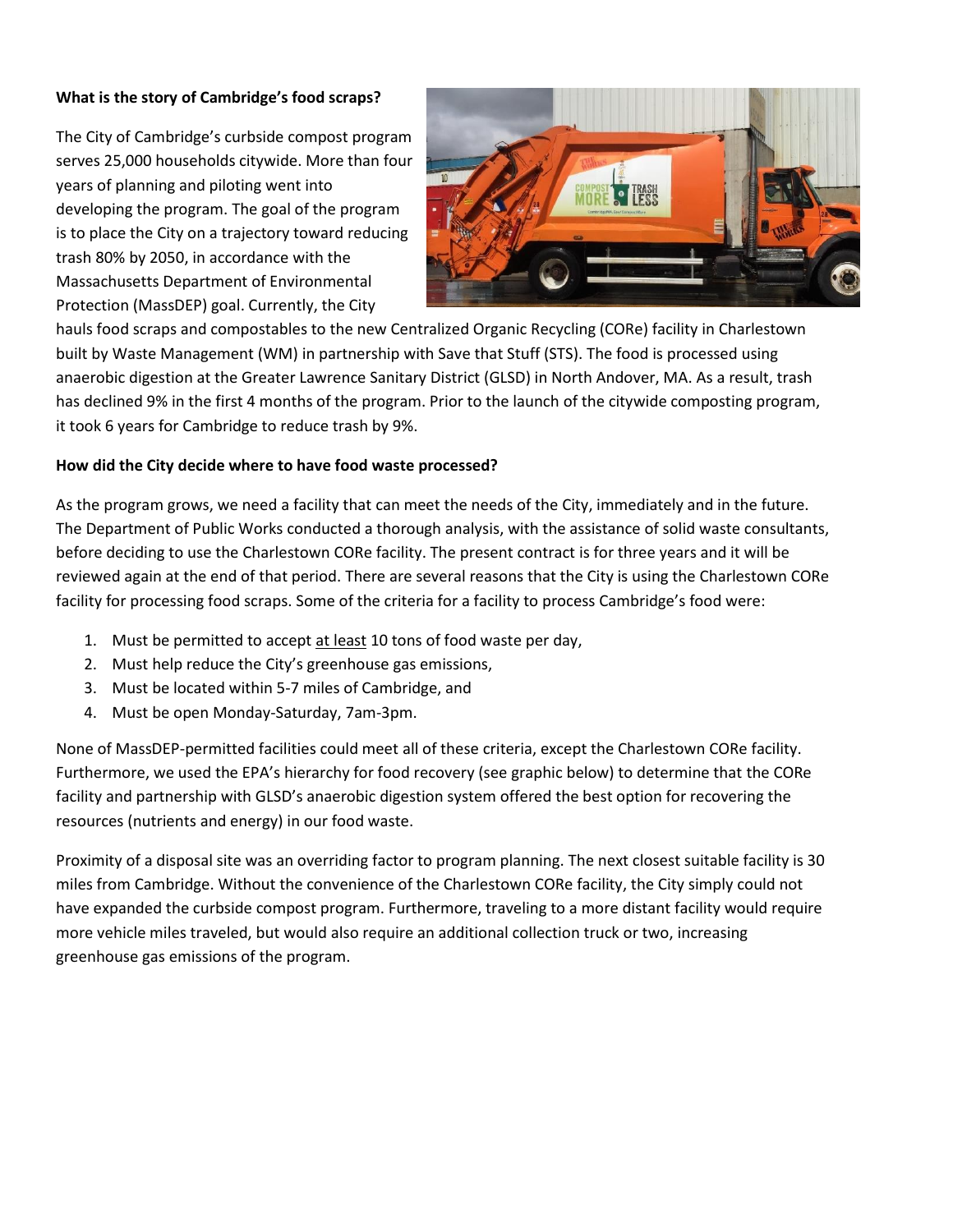## **What is the story of Cambridge's food scraps?**

The City of Cambridge's curbside compost program serves 25,000 households citywide. More than four years of planning and piloting went into developing the program. The goal of the program is to place the City on a trajectory toward reducing trash 80% by 2050, in accordance with the Massachusetts Department of Environmental Protection (MassDEP) goal. Currently, the City



hauls food scraps and compostables to the new Centralized Organic Recycling (CORe) facility in Charlestown built by Waste Management (WM) in partnership with Save that Stuff (STS). The food is processed using anaerobic digestion at the Greater Lawrence Sanitary District (GLSD) in North Andover, MA. As a result, trash has declined 9% in the first 4 months of the program. Prior to the launch of the citywide composting program, it took 6 years for Cambridge to reduce trash by 9%.

## **How did the City decide where to have food waste processed?**

As the program grows, we need a facility that can meet the needs of the City, immediately and in the future. The Department of Public Works conducted a thorough analysis, with the assistance of solid waste consultants, before deciding to use the Charlestown CORe facility. The present contract is for three years and it will be reviewed again at the end of that period. There are several reasons that the City is using the Charlestown CORe facility for processing food scraps. Some of the criteria for a facility to process Cambridge's food were:

- 1. Must be permitted to accept at least 10 tons of food waste per day,
- 2. Must help reduce the City's greenhouse gas emissions,
- 3. Must be located within 5-7 miles of Cambridge, and
- 4. Must be open Monday-Saturday, 7am-3pm.

None of MassDEP-permitted facilities could meet all of these criteria, except the Charlestown CORe facility. Furthermore, we used the EPA's hierarchy for food recovery (see graphic below) to determine that the CORe facility and partnership with GLSD's anaerobic digestion system offered the best option for recovering the resources (nutrients and energy) in our food waste.

Proximity of a disposal site was an overriding factor to program planning. The next closest suitable facility is 30 miles from Cambridge. Without the convenience of the Charlestown CORe facility, the City simply could not have expanded the curbside compost program. Furthermore, traveling to a more distant facility would require more vehicle miles traveled, but would also require an additional collection truck or two, increasing greenhouse gas emissions of the program.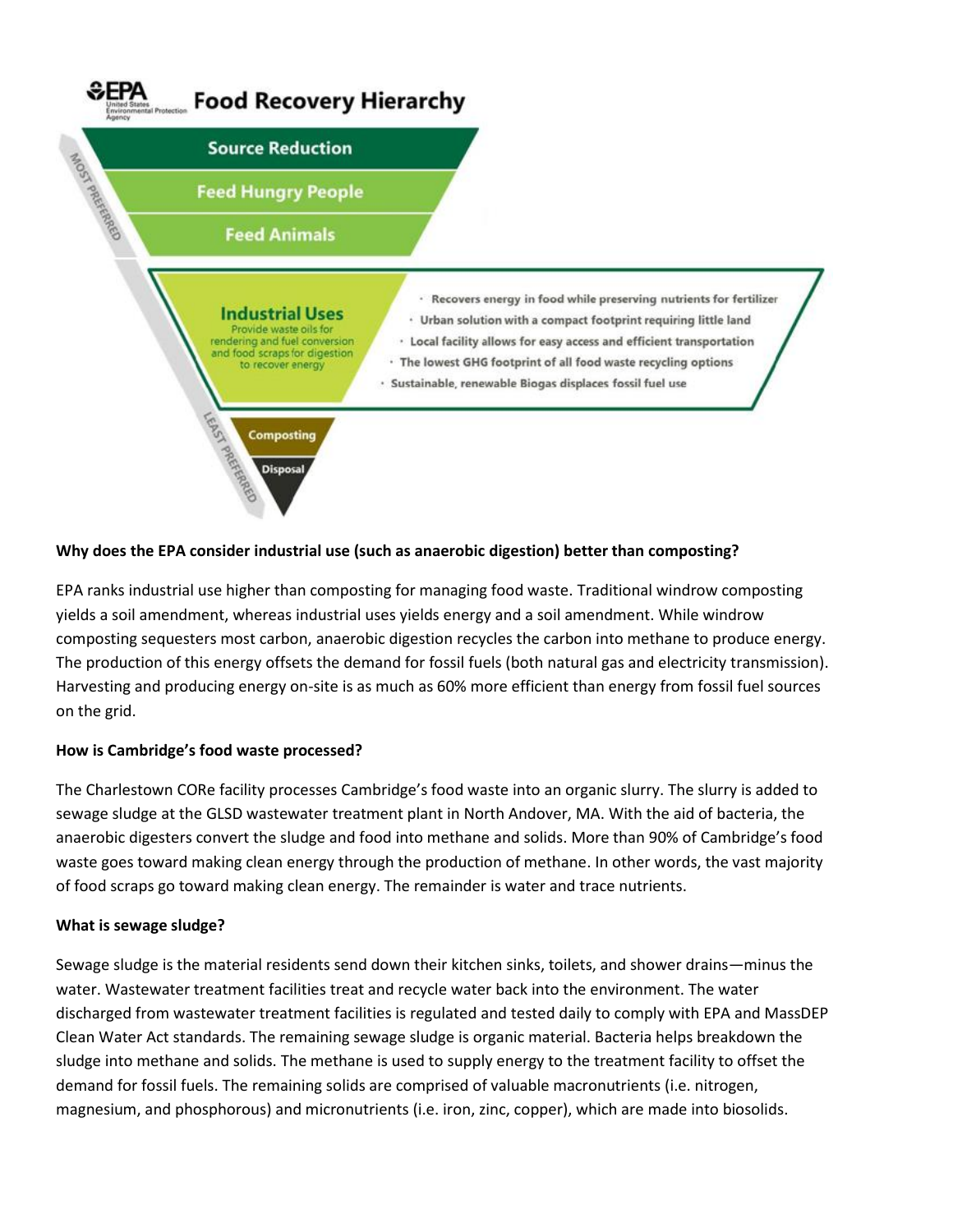

### **Why does the EPA consider industrial use (such as anaerobic digestion) better than composting?**

EPA ranks industrial use higher than composting for managing food waste. Traditional windrow composting yields a soil amendment, whereas industrial uses yields energy and a soil amendment. While windrow composting sequesters most carbon, anaerobic digestion recycles the carbon into methane to produce energy. The production of this energy offsets the demand for fossil fuels (both natural gas and electricity transmission). Harvesting and producing energy on-site is as much as 60% more efficient than energy from fossil fuel sources on the grid.

#### **How is Cambridge's food waste processed?**

The Charlestown CORe facility processes Cambridge's food waste into an organic slurry. The slurry is added to sewage sludge at the GLSD wastewater treatment plant in North Andover, MA. With the aid of bacteria, the anaerobic digesters convert the sludge and food into methane and solids. More than 90% of Cambridge's food waste goes toward making clean energy through the production of methane. In other words, the vast majority of food scraps go toward making clean energy. The remainder is water and trace nutrients.

#### **What is sewage sludge?**

Sewage sludge is the material residents send down their kitchen sinks, toilets, and shower drains—minus the water. Wastewater treatment facilities treat and recycle water back into the environment. The water discharged from wastewater treatment facilities is regulated and tested daily to comply with EPA and MassDEP Clean Water Act standards. The remaining sewage sludge is organic material. Bacteria helps breakdown the sludge into methane and solids. The methane is used to supply energy to the treatment facility to offset the demand for fossil fuels. The remaining solids are comprised of valuable macronutrients (i.e. nitrogen, magnesium, and phosphorous) and micronutrients (i.e. iron, zinc, copper), which are made into biosolids.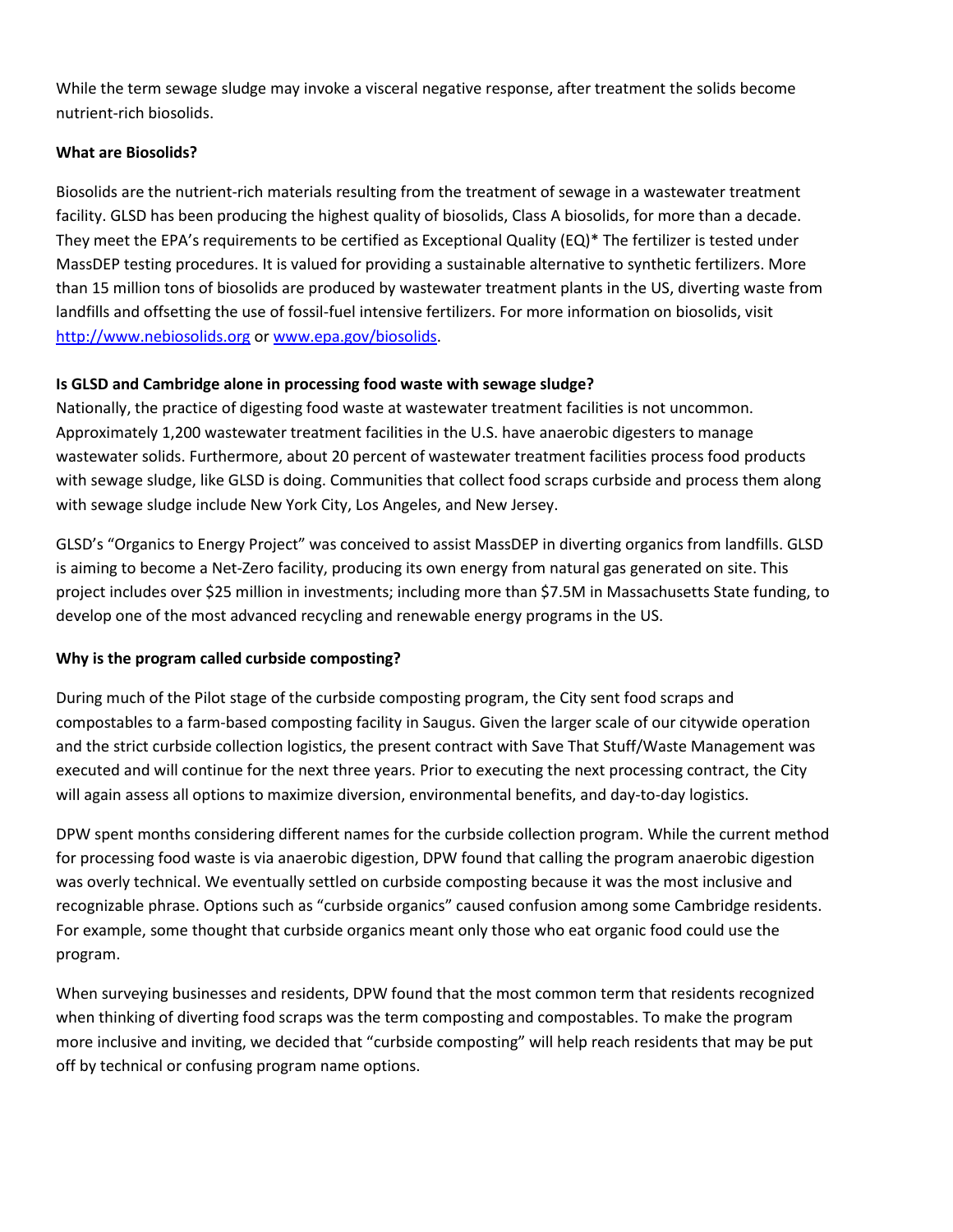While the term sewage sludge may invoke a visceral negative response, after treatment the solids become nutrient-rich biosolids.

# **What are Biosolids?**

Biosolids are the nutrient-rich materials resulting from the treatment of sewage in a wastewater treatment facility. GLSD has been producing the highest quality of biosolids, Class A biosolids, for more than a decade. They meet the EPA's requirements to be certified as Exceptional Quality (EQ)\* The fertilizer is tested under MassDEP testing procedures. It is valued for providing a sustainable alternative to synthetic fertilizers. More than 15 million tons of biosolids are produced by wastewater treatment plants in the US, diverting waste from landfills and offsetting the use of fossil-fuel intensive fertilizers. For more information on biosolids, visit [http://www.nebiosolids.org](http://www.nebiosolids.org/) o[r www.epa.gov/biosolids.](file://///snoopy/users/morr/Desktop/www.epa.gov/biosolids)

## **Is GLSD and Cambridge alone in processing food waste with sewage sludge?**

Nationally, the practice of digesting food waste at wastewater treatment facilities is not uncommon. Approximately 1,200 wastewater treatment facilities in the U.S. have anaerobic digesters to manage wastewater solids. Furthermore, about 20 percent of wastewater treatment facilities process food products with sewage sludge, like GLSD is doing. Communities that collect food scraps curbside and process them along with sewage sludge include New York City, Los Angeles, and New Jersey.

GLSD's "Organics to Energy Project" was conceived to assist MassDEP in diverting organics from landfills. GLSD is aiming to become a Net-Zero facility, producing its own energy from natural gas generated on site. This project includes over \$25 million in investments; including more than \$7.5M in Massachusetts State funding, to develop one of the most advanced recycling and renewable energy programs in the US.

# **Why is the program called curbside composting?**

During much of the Pilot stage of the curbside composting program, the City sent food scraps and compostables to a farm-based composting facility in Saugus. Given the larger scale of our citywide operation and the strict curbside collection logistics, the present contract with Save That Stuff/Waste Management was executed and will continue for the next three years. Prior to executing the next processing contract, the City will again assess all options to maximize diversion, environmental benefits, and day-to-day logistics.

DPW spent months considering different names for the curbside collection program. While the current method for processing food waste is via anaerobic digestion, DPW found that calling the program anaerobic digestion was overly technical. We eventually settled on curbside composting because it was the most inclusive and recognizable phrase. Options such as "curbside organics" caused confusion among some Cambridge residents. For example, some thought that curbside organics meant only those who eat organic food could use the program.

When surveying businesses and residents, DPW found that the most common term that residents recognized when thinking of diverting food scraps was the term composting and compostables. To make the program more inclusive and inviting, we decided that "curbside composting" will help reach residents that may be put off by technical or confusing program name options.